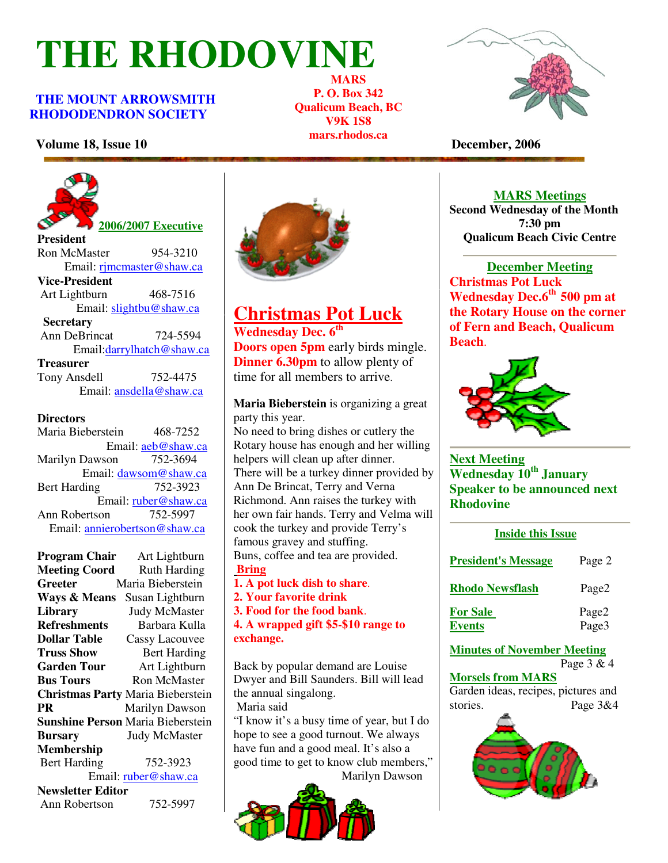# **THE RHODOVINE**

### **THE MOUNT ARROWSMITH RHODODENDRON SOCIETY**

**MARS P. O. Box 342 Qualicum Beach, BC V9K 1S8 mars.rhodos.ca** 



## **Volume 18, Issue 10** December, 2006



Ron McMaster 954-3210 Email: rjmcmaster@shaw.ca **Vice-President**  Art Lightburn 468-7516 Email: slightbu@shaw.ca **Secretary** Ann DeBrincat 724-5594 Email:darrylhatch@shaw.ca **Treasurer** Tony Ansdell 752-4475 Email: ansdella@shaw.ca

#### **Directors**

Maria Bieberstein 468-7252 Email: aeb@shaw.ca Marilyn Dawson 752-3694 Email: dawsom@shaw.ca Bert Harding 752-3923 Email: ruber@shaw.ca Ann Robertson 752-5997 Email: annierobertson@shaw.ca

**Program Chair** Art Lightburn<br>**Meeting Coord** Ruth Harding **Meeting Coord Greeter** Maria Bieberstein **Ways & Means** Susan Lightburn **Library** Judy McMaster **Refreshments** Barbara Kulla **Dollar Table** Cassy Lacouvee<br> **Truss Show** Bert Harding **Bert Harding Garden Tour** Art Lightburn **Bus Tours Ron McMaster Christmas Party** Maria Bieberstein **PR Marilyn Dawson Sunshine Person** Maria Bieberstein **Bursary** Judy McMaster **Membership**  Bert Harding 752-3923 Email: ruber@shaw.ca **Newsletter Editor** Ann Robertson 752-5997



## **Christmas Pot Luck**

**Wednesday Dec. 6th Doors open 5pm** early birds mingle. **Dinner 6.30pm** to allow plenty of time for all members to arrive.

**Maria Bieberstein** is organizing a great party this year.

No need to bring dishes or cutlery the Rotary house has enough and her willing helpers will clean up after dinner. There will be a turkey dinner provided by Ann De Brincat, Terry and Verna Richmond. Ann raises the turkey with her own fair hands. Terry and Velma will cook the turkey and provide Terry's famous gravey and stuffing. Buns, coffee and tea are provided. **Bring** 

- **1. A pot luck dish to share**.
- **2. Your favorite drink**

**3. Food for the food bank**.

**4. A wrapped gift \$5-\$10 range to exchange.** 

Back by popular demand are Louise Dwyer and Bill Saunders. Bill will lead the annual singalong.

Maria said

**e Person** Maria Bieberstein  $\begin{bmatrix} 1 & 1 & 1 \\ 1 & 1 & 1 \\ 1 & 1 & 1 \end{bmatrix}$   $\begin{bmatrix} 1 & 1 & 1 \\ 1 & 1 & 1 \\ 1 & 1 & 1 \end{bmatrix}$   $\begin{bmatrix} 1 & 1 & 1 \\ 1 & 1 & 1 \\ 1 & 1 & 1 \end{bmatrix}$ hope to see a good turnout. We always have fun and a good meal. It's also a good time to get to know club members," Marilyn Dawson



#### **MARS Meetings**

**Second Wednesday of the Month 7:30 pm Qualicum Beach Civic Centre**

**December Meeting Christmas Pot Luck Wednesday Dec.6th 500 pm at the Rotary House on the corner of Fern and Beach, Qualicum Beach**.



**Next Meeting Wednesday 10th January Speaker to be announced next Rhodovine**

| <b>Inside this Issue</b>         |                |  |
|----------------------------------|----------------|--|
| <b>President's Message</b>       | Page 2         |  |
| <b>Rhodo Newsflash</b>           | Page2          |  |
| <u>For Sale</u><br><b>Events</b> | Page2<br>Page3 |  |
| Minutes of Nevember Meeting      |                |  |

**Minutes of November Meeting** Page 3 & 4

**Morsels from MARS** Garden ideas, recipes, pictures and stories. Page 3&4

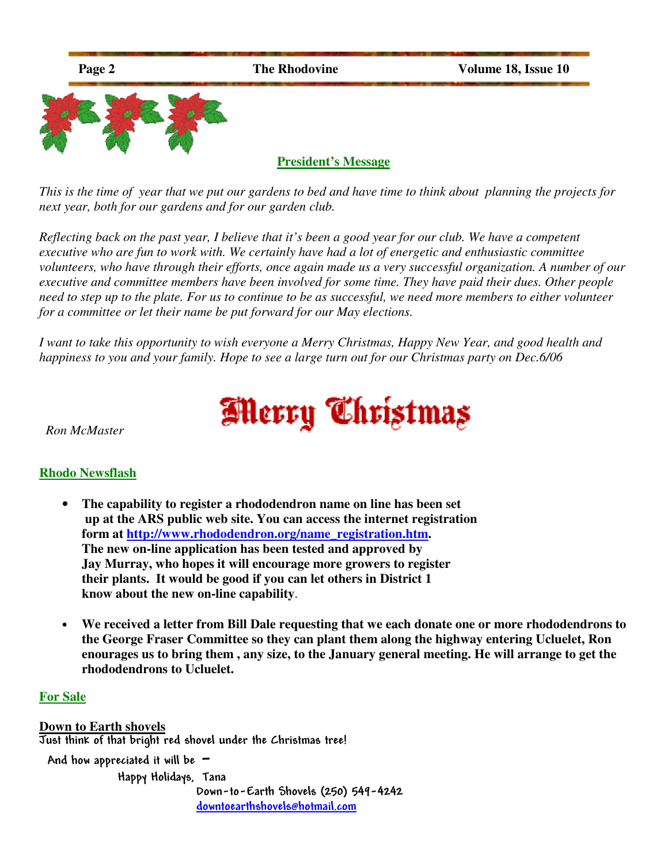

*This is the time of year that we put our gardens to bed and have time to think about planning the projects for next year, both for our gardens and for our garden club.* 

*Reflecting back on the past year, I believe that it's been a good year for our club. We have a competent executive who are fun to work with. We certainly have had a lot of energetic and enthusiastic committee volunteers, who have through their efforts, once again made us a very successful organization. A number of our executive and committee members have been involved for some time. They have paid their dues. Other people need to step up to the plate. For us to continue to be as successful, we need more members to either volunteer for a committee or let their name be put forward for our May elections.* 

*I want to take this opportunity to wish everyone a Merry Christmas, Happy New Year, and good health and happiness to you and your family. Hope to see a large turn out for our Christmas party on Dec.6/06* 



 *Ron McMaster* 

## **Rhodo Newsflash**

- **The capability to register a rhododendron name on line has been set up at the ARS public web site. You can access the internet registration form at http://www.rhododendron.org/name\_registration.htm. The new on-line application has been tested and approved by Jay Murray, who hopes it will encourage more growers to register their plants. It would be good if you can let others in District 1 know about the new on-line capability**.
- **We received a letter from Bill Dale requesting that we each donate one or more rhododendrons to the George Fraser Committee so they can plant them along the highway entering Ucluelet, Ron enourages us to bring them , any size, to the January general meeting. He will arrange to get the rhododendrons to Ucluelet.**

#### **For Sale**

**Down to Earth shovels**  Just think of that bright red shovel under the Christmas tree! And how appreciated it will be  $-$ Happy Holidays, Tana

 Down-to-Earth Shovels (250) 549-4242 downtoearthshovels@hotmail.com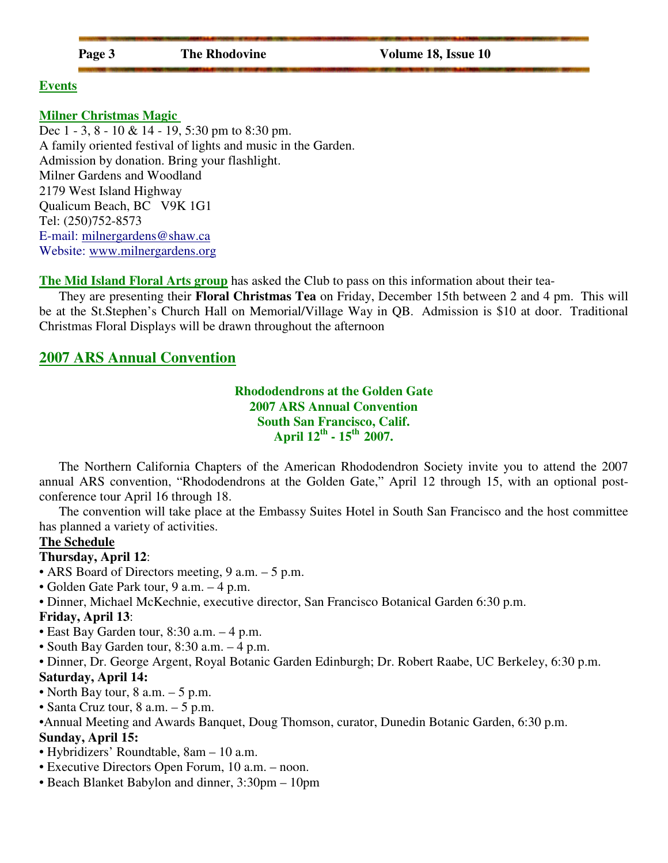| ., |  |
|----|--|
|    |  |

#### **Events**

#### **Milner Christmas Magic**

Dec 1 - 3, 8 - 10 & 14 - 19, 5:30 pm to 8:30 pm. A family oriented festival of lights and music in the Garden. Admission by donation. Bring your flashlight. Milner Gardens and Woodland 2179 West Island Highway Qualicum Beach, BC V9K 1G1 Tel: (250)752-8573 E-mail: milnergardens@shaw.ca Website: www.milnergardens.org

**The Mid Island Floral Arts group** has asked the Club to pass on this information about their tea-

They are presenting their **Floral Christmas Tea** on Friday, December 15th between 2 and 4 pm. This will be at the St.Stephen's Church Hall on Memorial/Village Way in QB. Admission is \$10 at door. Traditional Christmas Floral Displays will be drawn throughout the afternoon

## **2007 ARS Annual Convention**

**Rhododendrons at the Golden Gate 2007 ARS Annual Convention South San Francisco, Calif. April 12th - 15th 2007.** 

The Northern California Chapters of the American Rhododendron Society invite you to attend the 2007 annual ARS convention, "Rhododendrons at the Golden Gate," April 12 through 15, with an optional postconference tour April 16 through 18.

The convention will take place at the Embassy Suites Hotel in South San Francisco and the host committee has planned a variety of activities.

#### **The Schedule**

#### **Thursday, April 12**:

- ARS Board of Directors meeting, 9 a.m. 5 p.m.
- Golden Gate Park tour, 9 a.m. 4 p.m.
- Dinner, Michael McKechnie, executive director, San Francisco Botanical Garden 6:30 p.m.

#### **Friday, April 13**:

- East Bay Garden tour, 8:30 a.m. 4 p.m.
- South Bay Garden tour, 8:30 a.m. 4 p.m.

• Dinner, Dr. George Argent, Royal Botanic Garden Edinburgh; Dr. Robert Raabe, UC Berkeley, 6:30 p.m.

## **Saturday, April 14:**

- North Bay tour,  $8$  a.m.  $-5$  p.m.
- Santa Cruz tour, 8 a.m. 5 p.m.
- •Annual Meeting and Awards Banquet, Doug Thomson, curator, Dunedin Botanic Garden, 6:30 p.m. **Sunday, April 15:**
- Hybridizers' Roundtable, 8am 10 a.m.
- Executive Directors Open Forum, 10 a.m. noon.
- Beach Blanket Babylon and dinner, 3:30pm 10pm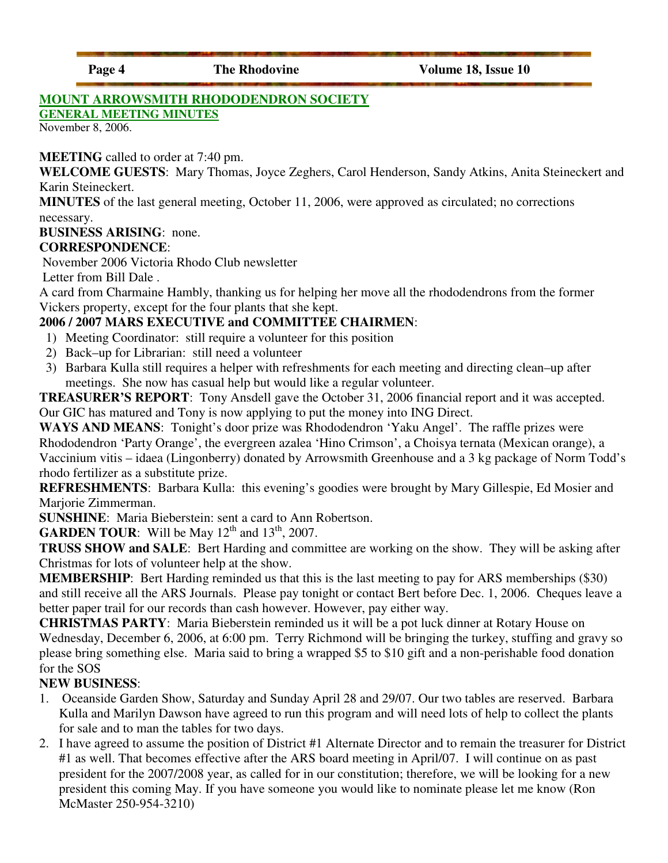## **MOUNT ARROWSMITH RHODODENDRON SOCIETY**

**GENERAL MEETING MINUTES**

November 8, 2006.

**MEETING** called to order at 7:40 pm.

**WELCOME GUESTS**: Mary Thomas, Joyce Zeghers, Carol Henderson, Sandy Atkins, Anita Steineckert and Karin Steineckert.

**MINUTES** of the last general meeting, October 11, 2006, were approved as circulated; no corrections necessary.

**BUSINESS ARISING**: none.

## **CORRESPONDENCE**:

November 2006 Victoria Rhodo Club newsletter

Letter from Bill Dale .

A card from Charmaine Hambly, thanking us for helping her move all the rhododendrons from the former Vickers property, except for the four plants that she kept.

## **2006 / 2007 MARS EXECUTIVE and COMMITTEE CHAIRMEN**:

- 1) Meeting Coordinator: still require a volunteer for this position
- 2) Back–up for Librarian: still need a volunteer
- 3) Barbara Kulla still requires a helper with refreshments for each meeting and directing clean–up after meetings. She now has casual help but would like a regular volunteer.

**TREASURER'S REPORT**: Tony Ansdell gave the October 31, 2006 financial report and it was accepted. Our GIC has matured and Tony is now applying to put the money into ING Direct.

**WAYS AND MEANS**: Tonight's door prize was Rhododendron 'Yaku Angel'. The raffle prizes were Rhododendron 'Party Orange', the evergreen azalea 'Hino Crimson', a Choisya ternata (Mexican orange), a Vaccinium vitis – idaea (Lingonberry) donated by Arrowsmith Greenhouse and a 3 kg package of Norm Todd's rhodo fertilizer as a substitute prize.

**REFRESHMENTS**: Barbara Kulla: this evening's goodies were brought by Mary Gillespie, Ed Mosier and Marjorie Zimmerman.

**SUNSHINE**: Maria Bieberstein: sent a card to Ann Robertson.

**GARDEN TOUR:** Will be May  $12^{th}$  and  $13^{th}$ , 2007.

**TRUSS SHOW and SALE**: Bert Harding and committee are working on the show. They will be asking after Christmas for lots of volunteer help at the show.

**MEMBERSHIP**: Bert Harding reminded us that this is the last meeting to pay for ARS memberships (\$30) and still receive all the ARS Journals. Please pay tonight or contact Bert before Dec. 1, 2006. Cheques leave a better paper trail for our records than cash however. However, pay either way.

**CHRISTMAS PARTY**: Maria Bieberstein reminded us it will be a pot luck dinner at Rotary House on Wednesday, December 6, 2006, at 6:00 pm. Terry Richmond will be bringing the turkey, stuffing and gravy so please bring something else. Maria said to bring a wrapped \$5 to \$10 gift and a non-perishable food donation for the SOS

## **NEW BUSINESS**:

- 1. Oceanside Garden Show, Saturday and Sunday April 28 and 29/07. Our two tables are reserved. Barbara Kulla and Marilyn Dawson have agreed to run this program and will need lots of help to collect the plants for sale and to man the tables for two days.
- 2. I have agreed to assume the position of District #1 Alternate Director and to remain the treasurer for District #1 as well. That becomes effective after the ARS board meeting in April/07. I will continue on as past president for the 2007/2008 year, as called for in our constitution; therefore, we will be looking for a new president this coming May. If you have someone you would like to nominate please let me know (Ron McMaster 250-954-3210)